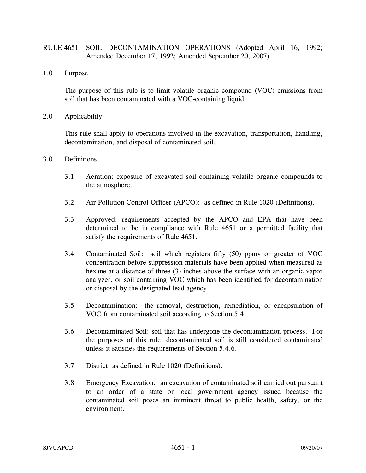# RULE 4651 SOIL DECONTAMINATION OPERATIONS (Adopted April 16, 1992; Amended December 17, 1992; Amended September 20, 2007)

1.0 Purpose

The purpose of this rule is to limit volatile organic compound (VOC) emissions from soil that has been contaminated with a VOC-containing liquid.

2.0 Applicability

This rule shall apply to operations involved in the excavation, transportation, handling, decontamination, and disposal of contaminated soil.

- 3.0 Definitions
	- 3.1 Aeration: exposure of excavated soil containing volatile organic compounds to the atmosphere.
	- 3.2 Air Pollution Control Officer (APCO): as defined in Rule 1020 (Definitions).
	- 3.3 Approved: requirements accepted by the APCO and EPA that have been determined to be in compliance with Rule 4651 or a permitted facility that satisfy the requirements of Rule 4651.
	- 3.4 Contaminated Soil: soil which registers fifty (50) ppmv or greater of VOC concentration before suppression materials have been applied when measured as hexane at a distance of three (3) inches above the surface with an organic vapor analyzer, or soil containing VOC which has been identified for decontamination or disposal by the designated lead agency.
	- 3.5 Decontamination: the removal, destruction, remediation, or encapsulation of VOC from contaminated soil according to Section 5.4.
	- 3.6 Decontaminated Soil: soil that has undergone the decontamination process. For the purposes of this rule, decontaminated soil is still considered contaminated unless it satisfies the requirements of Section 5.4.6.
	- 3.7 District: as defined in Rule 1020 (Definitions).
	- 3.8 Emergency Excavation: an excavation of contaminated soil carried out pursuant to an order of a state or local government agency issued because the contaminated soil poses an imminent threat to public health, safety, or the environment.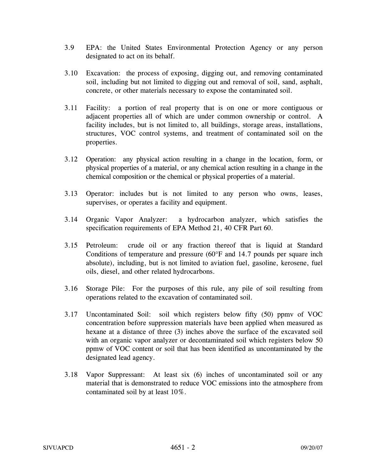- 3.9 EPA: the United States Environmental Protection Agency or any person designated to act on its behalf.
- 3.10 Excavation: the process of exposing, digging out, and removing contaminated soil, including but not limited to digging out and removal of soil, sand, asphalt, concrete, or other materials necessary to expose the contaminated soil.
- 3.11 Facility: a portion of real property that is on one or more contiguous or adjacent properties all of which are under common ownership or control. A facility includes, but is not limited to, all buildings, storage areas, installations, structures, VOC control systems, and treatment of contaminated soil on the properties.
- 3.12 Operation: any physical action resulting in a change in the location, form, or physical properties of a material, or any chemical action resulting in a change in the chemical composition or the chemical or physical properties of a material.
- 3.13 Operator: includes but is not limited to any person who owns, leases, supervises, or operates a facility and equipment.
- 3.14 Organic Vapor Analyzer: a hydrocarbon analyzer, which satisfies the specification requirements of EPA Method 21, 40 CFR Part 60.
- 3.15 Petroleum: crude oil or any fraction thereof that is liquid at Standard Conditions of temperature and pressure (60°F and 14.7 pounds per square inch absolute), including, but is not limited to aviation fuel, gasoline, kerosene, fuel oils, diesel, and other related hydrocarbons.
- 3.16 Storage Pile: For the purposes of this rule, any pile of soil resulting from operations related to the excavation of contaminated soil.
- 3.17 Uncontaminated Soil: soil which registers below fifty (50) ppmv of VOC concentration before suppression materials have been applied when measured as hexane at a distance of three (3) inches above the surface of the excavated soil with an organic vapor analyzer or decontaminated soil which registers below 50 ppmw of VOC content or soil that has been identified as uncontaminated by the designated lead agency.
- 3.18 Vapor Suppressant: At least six (6) inches of uncontaminated soil or any material that is demonstrated to reduce VOC emissions into the atmosphere from contaminated soil by at least 10%.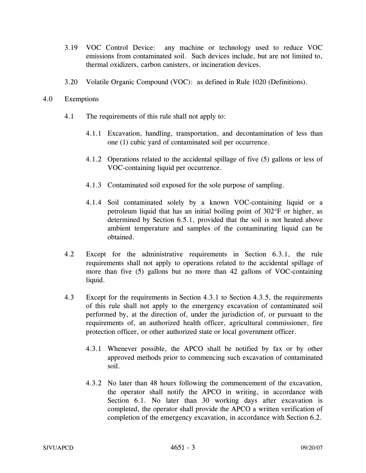- 3.19 VOC Control Device: any machine or technology used to reduce VOC emissions from contaminated soil. Such devices include, but are not limited to, thermal oxidizers, carbon canisters, or incineration devices.
- 3.20 Volatile Organic Compound (VOC): as defined in Rule 1020 (Definitions).

## 4.0 Exemptions

- 4.1 The requirements of this rule shall not apply to:
	- 4.1.1 Excavation, handling, transportation, and decontamination of less than one (1) cubic yard of contaminated soil per occurrence.
	- 4.1.2 Operations related to the accidental spillage of five (5) gallons or less of VOC-containing liquid per occurrence.
	- 4.1.3 Contaminated soil exposed for the sole purpose of sampling.
	- 4.1.4 Soil contaminated solely by a known VOC-containing liquid or a petroleum liquid that has an initial boiling point of 302°F or higher, as determined by Section 6.5.1, provided that the soil is not heated above ambient temperature and samples of the contaminating liquid can be obtained.
- 4.2 Except for the administrative requirements in Section 6.3.1, the rule requirements shall not apply to operations related to the accidental spillage of more than five (5) gallons but no more than 42 gallons of VOC-containing liquid.
- 4.3 Except for the requirements in Section 4.3.1 to Section 4.3.5, the requirements of this rule shall not apply to the emergency excavation of contaminated soil performed by, at the direction of, under the jurisdiction of, or pursuant to the requirements of, an authorized health officer, agricultural commissioner, fire protection officer, or other authorized state or local government officer.
	- 4.3.1 Whenever possible, the APCO shall be notified by fax or by other approved methods prior to commencing such excavation of contaminated soil.
	- 4.3.2 No later than 48 hours following the commencement of the excavation, the operator shall notify the APCO in writing, in accordance with Section 6.1. No later than 30 working days after excavation is completed, the operator shall provide the APCO a written verification of completion of the emergency excavation, in accordance with Section 6.2.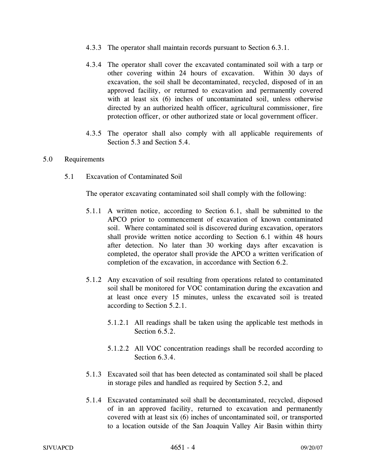- 4.3.3 The operator shall maintain records pursuant to Section 6.3.1.
- 4.3.4 The operator shall cover the excavated contaminated soil with a tarp or other covering within 24 hours of excavation. Within 30 days of excavation, the soil shall be decontaminated, recycled, disposed of in an approved facility, or returned to excavation and permanently covered with at least six (6) inches of uncontaminated soil, unless otherwise directed by an authorized health officer, agricultural commissioner, fire protection officer, or other authorized state or local government officer.
- 4.3.5 The operator shall also comply with all applicable requirements of Section 5.3 and Section 5.4.

### 5.0 Requirements

5.1 Excavation of Contaminated Soil

The operator excavating contaminated soil shall comply with the following:

- 5.1.1 A written notice, according to Section 6.1, shall be submitted to the APCO prior to commencement of excavation of known contaminated soil. Where contaminated soil is discovered during excavation, operators shall provide written notice according to Section 6.1 within 48 hours after detection. No later than 30 working days after excavation is completed, the operator shall provide the APCO a written verification of completion of the excavation, in accordance with Section 6.2.
- 5.1.2 Any excavation of soil resulting from operations related to contaminated soil shall be monitored for VOC contamination during the excavation and at least once every 15 minutes, unless the excavated soil is treated according to Section 5.2.1.
	- 5.1.2.1 All readings shall be taken using the applicable test methods in Section 6.5.2.
	- 5.1.2.2 All VOC concentration readings shall be recorded according to Section 6.3.4.
- 5.1.3 Excavated soil that has been detected as contaminated soil shall be placed in storage piles and handled as required by Section 5.2, and
- 5.1.4 Excavated contaminated soil shall be decontaminated, recycled, disposed of in an approved facility, returned to excavation and permanently covered with at least six (6) inches of uncontaminated soil, or transported to a location outside of the San Joaquin Valley Air Basin within thirty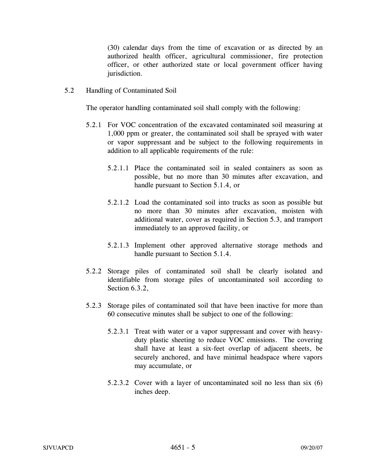(30) calendar days from the time of excavation or as directed by an authorized health officer, agricultural commissioner, fire protection officer, or other authorized state or local government officer having jurisdiction.

5.2 Handling of Contaminated Soil

The operator handling contaminated soil shall comply with the following:

- 5.2.1 For VOC concentration of the excavated contaminated soil measuring at 1,000 ppm or greater, the contaminated soil shall be sprayed with water or vapor suppressant and be subject to the following requirements in addition to all applicable requirements of the rule:
	- 5.2.1.1 Place the contaminated soil in sealed containers as soon as possible, but no more than 30 minutes after excavation, and handle pursuant to Section 5.1.4, or
	- 5.2.1.2 Load the contaminated soil into trucks as soon as possible but no more than 30 minutes after excavation, moisten with additional water, cover as required in Section 5.3, and transport immediately to an approved facility, or
	- 5.2.1.3 Implement other approved alternative storage methods and handle pursuant to Section 5.1.4.
- 5.2.2 Storage piles of contaminated soil shall be clearly isolated and identifiable from storage piles of uncontaminated soil according to Section 6.3.2.
- 5.2.3 Storage piles of contaminated soil that have been inactive for more than 60 consecutive minutes shall be subject to one of the following:
	- 5.2.3.1 Treat with water or a vapor suppressant and cover with heavyduty plastic sheeting to reduce VOC emissions. The covering shall have at least a six-feet overlap of adjacent sheets, be securely anchored, and have minimal headspace where vapors may accumulate, or
	- 5.2.3.2 Cover with a layer of uncontaminated soil no less than six (6) inches deep.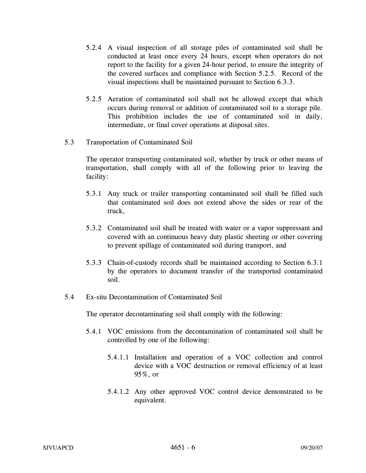- 5.2.4 A visual inspection of all storage piles of contaminated soil shall be conducted at least once every 24 hours, except when operators do not report to the facility for a given 24-hour period, to ensure the integrity of the covered surfaces and compliance with Section 5.2.5. Record of the visual inspections shall be maintained pursuant to Section 6.3.3.
- 5.2.5 Aeration of contaminated soil shall not be allowed except that which occurs during removal or addition of contaminated soil to a storage pile. This prohibition includes the use of contaminated soil in daily, intermediate, or final cover operations at disposal sites.
- 5.3 Transportation of Contaminated Soil

The operator transporting contaminated soil, whether by truck or other means of transportation, shall comply with all of the following prior to leaving the facility:

- 5.3.1 Any truck or trailer transporting contaminated soil shall be filled such that contaminated soil does not extend above the sides or rear of the truck,
- 5.3.2 Contaminated soil shall be treated with water or a vapor suppressant and covered with an continuous heavy duty plastic sheeting or other covering to prevent spillage of contaminated soil during transport, and
- 5.3.3 Chain-of-custody records shall be maintained according to Section 6.3.1 by the operators to document transfer of the transported contaminated soil.
- 5.4 Ex-situ Decontamination of Contaminated Soil

The operator decontaminating soil shall comply with the following:

- 5.4.1 VOC emissions from the decontamination of contaminated soil shall be controlled by one of the following:
	- 5.4.1.1 Installation and operation of a VOC collection and control device with a VOC destruction or removal efficiency of at least 95%, or
	- 5.4.1.2 Any other approved VOC control device demonstrated to be equivalent.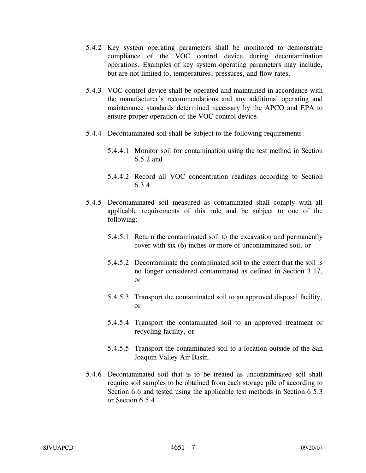- 5.4.2 Key system operating parameters shall be monitored to demonstrate compliance of the VOC control device during decontamination operations. Examples of key system operating parameters may include, but are not limited to, temperatures, pressures, and flow rates.
- 5.4.3 VOC control device shall be operated and maintained in accordance with the manufacturer's recommendations and any additional operating and maintenance standards determined necessary by the APCO and EPA to ensure proper operation of the VOC control device.
- 5.4.4 Decontaminated soil shall be subject to the following requirements:
	- 5.4.4.1 Monitor soil for contamination using the test method in Section 6.5.2 and
	- 5.4.4.2 Record all VOC concentration readings according to Section 6.3.4.
- 5.4.5 Decontaminated soil measured as contaminated shall comply with all applicable requirements of this rule and be subject to one of the following:
	- 5.4.5.1 Return the contaminated soil to the excavation and permanently cover with six (6) inches or more of uncontaminated soil, or
	- 5.4.5.2 Decontaminate the contaminated soil to the extent that the soil is no longer considered contaminated as defined in Section 3.17, or
	- 5.4.5.3 Transport the contaminated soil to an approved disposal facility, or
	- 5.4.5.4 Transport the contaminated soil to an approved treatment or recycling facility, or
	- 5.4.5.5 Transport the contaminated soil to a location outside of the San Joaquin Valley Air Basin.
- 5.4.6 Decontaminated soil that is to be treated as uncontaminated soil shall require soil samples to be obtained from each storage pile of according to Section 6.6 and tested using the applicable test methods in Section 6.5.3 or Section 6.5.4.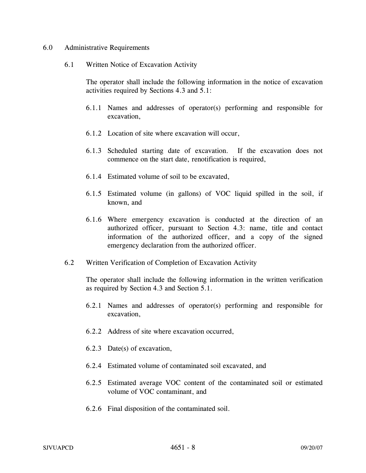#### 6.0 Administrative Requirements

6.1 Written Notice of Excavation Activity

The operator shall include the following information in the notice of excavation activities required by Sections 4.3 and 5.1:

- 6.1.1 Names and addresses of operator(s) performing and responsible for excavation,
- 6.1.2 Location of site where excavation will occur,
- 6.1.3 Scheduled starting date of excavation. If the excavation does not commence on the start date, renotification is required,
- 6.1.4 Estimated volume of soil to be excavated,
- 6.1.5 Estimated volume (in gallons) of VOC liquid spilled in the soil, if known, and
- 6.1.6 Where emergency excavation is conducted at the direction of an authorized officer, pursuant to Section 4.3: name, title and contact information of the authorized officer, and a copy of the signed emergency declaration from the authorized officer.
- 6.2 Written Verification of Completion of Excavation Activity

The operator shall include the following information in the written verification as required by Section 4.3 and Section 5.1.

- 6.2.1 Names and addresses of operator(s) performing and responsible for excavation,
- 6.2.2 Address of site where excavation occurred,
- 6.2.3 Date(s) of excavation,
- 6.2.4 Estimated volume of contaminated soil excavated, and
- 6.2.5 Estimated average VOC content of the contaminated soil or estimated volume of VOC contaminant, and
- 6.2.6 Final disposition of the contaminated soil.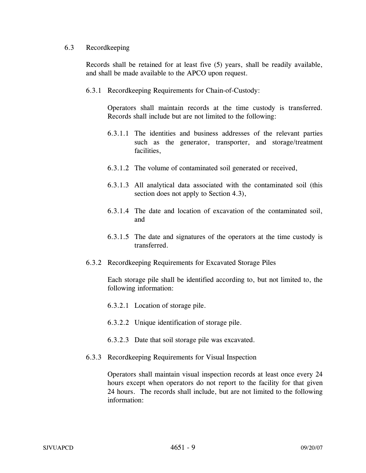### 6.3 Recordkeeping

Records shall be retained for at least five (5) years, shall be readily available, and shall be made available to the APCO upon request.

6.3.1 Recordkeeping Requirements for Chain-of-Custody:

Operators shall maintain records at the time custody is transferred. Records shall include but are not limited to the following:

- 6.3.1.1 The identities and business addresses of the relevant parties such as the generator, transporter, and storage/treatment facilities,
- 6.3.1.2 The volume of contaminated soil generated or received,
- 6.3.1.3 All analytical data associated with the contaminated soil (this section does not apply to Section 4.3),
- 6.3.1.4 The date and location of excavation of the contaminated soil, and
- 6.3.1.5 The date and signatures of the operators at the time custody is transferred.
- 6.3.2 Recordkeeping Requirements for Excavated Storage Piles

 Each storage pile shall be identified according to, but not limited to, the following information:

- 6.3.2.1 Location of storage pile.
- 6.3.2.2 Unique identification of storage pile.
- 6.3.2.3 Date that soil storage pile was excavated.
- 6.3.3 Recordkeeping Requirements for Visual Inspection

 Operators shall maintain visual inspection records at least once every 24 hours except when operators do not report to the facility for that given 24 hours. The records shall include, but are not limited to the following information: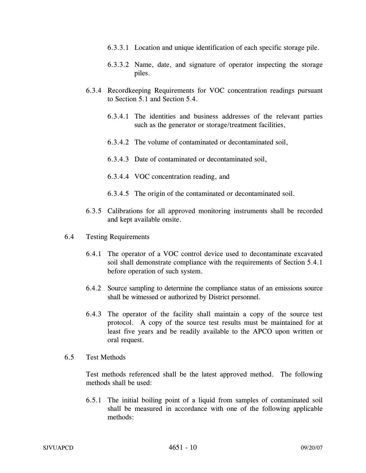- 6.3.3.1 Location and unique identification of each specific storage pile.
- 6.3.3.2 Name, date, and signature of operator inspecting the storage piles.
- 6.3.4 Recordkeeping Requirements for VOC concentration readings pursuant to Section 5.1 and Section 5.4.
	- 6.3.4.1 The identities and business addresses of the relevant parties such as the generator or storage/treatment facilities,
	- 6.3.4.2 The volume of contaminated or decontaminated soil,
	- 6.3.4.3 Date of contaminated or decontaminated soil,
	- 6.3.4.4 VOC concentration reading, and
	- 6.3.4.5 The origin of the contaminated or decontaminated soil.
- 6.3.5 Calibrations for all approved monitoring instruments shall be recorded and kept available onsite.
- 6.4 Testing Requirements
	- 6.4.1 The operator of a VOC control device used to decontaminate excavated soil shall demonstrate compliance with the requirements of Section 5.4.1 before operation of such system.
	- 6.4.2 Source sampling to determine the compliance status of an emissions source shall be witnessed or authorized by District personnel.
	- 6.4.3 The operator of the facility shall maintain a copy of the source test protocol. A copy of the source test results must be maintained for at least five years and be readily available to the APCO upon written or oral request.
- 6.5 Test Methods

Test methods referenced shall be the latest approved method. The following methods shall be used:

6.5.1 The initial boiling point of a liquid from samples of contaminated soil shall be measured in accordance with one of the following applicable methods: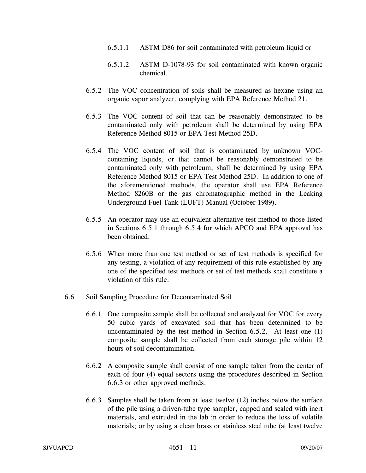- 6.5.1.1 ASTM D86 for soil contaminated with petroleum liquid or
- 6.5.1.2 ASTM D-1078-93 for soil contaminated with known organic chemical.
- 6.5.2 The VOC concentration of soils shall be measured as hexane using an organic vapor analyzer, complying with EPA Reference Method 21.
- 6.5.3 The VOC content of soil that can be reasonably demonstrated to be contaminated only with petroleum shall be determined by using EPA Reference Method 8015 or EPA Test Method 25D.
- 6.5.4 The VOC content of soil that is contaminated by unknown VOCcontaining liquids, or that cannot be reasonably demonstrated to be contaminated only with petroleum, shall be determined by using EPA Reference Method 8015 or EPA Test Method 25D. In addition to one of the aforementioned methods, the operator shall use EPA Reference Method 8260B or the gas chromatographic method in the Leaking Underground Fuel Tank (LUFT) Manual (October 1989).
- 6.5.5 An operator may use an equivalent alternative test method to those listed in Sections 6.5.1 through 6.5.4 for which APCO and EPA approval has been obtained.
- 6.5.6 When more than one test method or set of test methods is specified for any testing, a violation of any requirement of this rule established by any one of the specified test methods or set of test methods shall constitute a violation of this rule.
- 6.6 Soil Sampling Procedure for Decontaminated Soil
	- 6.6.1 One composite sample shall be collected and analyzed for VOC for every 50 cubic yards of excavated soil that has been determined to be uncontaminated by the test method in Section 6.5.2. At least one (1) composite sample shall be collected from each storage pile within 12 hours of soil decontamination.
	- 6.6.2 A composite sample shall consist of one sample taken from the center of each of four (4) equal sectors using the procedures described in Section 6.6.3 or other approved methods.
	- 6.6.3 Samples shall be taken from at least twelve (12) inches below the surface of the pile using a driven-tube type sampler, capped and sealed with inert materials, and extruded in the lab in order to reduce the loss of volatile materials; or by using a clean brass or stainless steel tube (at least twelve